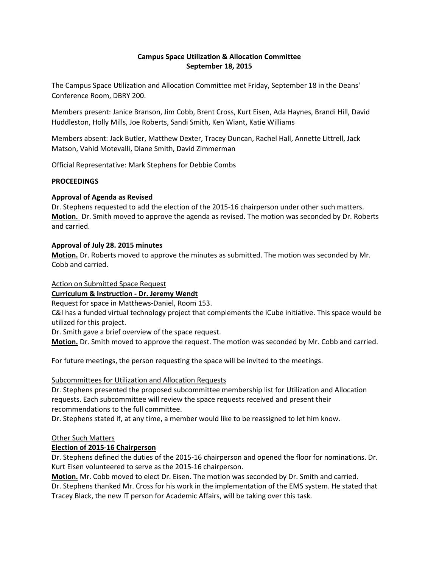### **Campus Space Utilization & Allocation Committee September 18, 2015**

The Campus Space Utilization and Allocation Committee met Friday, September 18 in the Deans' Conference Room, DBRY 200.

Members present: Janice Branson, Jim Cobb, Brent Cross, Kurt Eisen, Ada Haynes, Brandi Hill, David Huddleston, Holly Mills, Joe Roberts, Sandi Smith, Ken Wiant, Katie Williams

Members absent: Jack Butler, Matthew Dexter, Tracey Duncan, Rachel Hall, Annette Littrell, Jack Matson, Vahid Motevalli, Diane Smith, David Zimmerman

Official Representative: Mark Stephens for Debbie Combs

#### **PROCEEDINGS**

### **Approval of Agenda as Revised**

Dr. Stephens requested to add the election of the 2015-16 chairperson under other such matters. **Motion.** Dr. Smith moved to approve the agenda as revised. The motion was seconded by Dr. Roberts and carried.

#### **Approval of July 28. 2015 minutes**

**Motion.** Dr. Roberts moved to approve the minutes as submitted. The motion was seconded by Mr. Cobb and carried.

Action on Submitted Space Request

**Curriculum & Instruction - Dr. Jeremy Wendt** 

Request for space in Matthews-Daniel, Room 153.

C&I has a funded virtual technology project that complements the iCube initiative. This space would be utilized for this project.

Dr. Smith gave a brief overview of the space request.

**Motion.** Dr. Smith moved to approve the request. The motion was seconded by Mr. Cobb and carried.

For future meetings, the person requesting the space will be invited to the meetings.

# Subcommittees for Utilization and Allocation Requests

Dr. Stephens presented the proposed subcommittee membership list for Utilization and Allocation requests. Each subcommittee will review the space requests received and present their recommendations to the full committee.

Dr. Stephens stated if, at any time, a member would like to be reassigned to let him know.

#### Other Such Matters

# **Election of 2015-16 Chairperson**

Dr. Stephens defined the duties of the 2015-16 chairperson and opened the floor for nominations. Dr. Kurt Eisen volunteered to serve as the 2015-16 chairperson.

**Motion.** Mr. Cobb moved to elect Dr. Eisen. The motion was seconded by Dr. Smith and carried.

Dr. Stephens thanked Mr. Cross for his work in the implementation of the EMS system. He stated that Tracey Black, the new IT person for Academic Affairs, will be taking over this task.